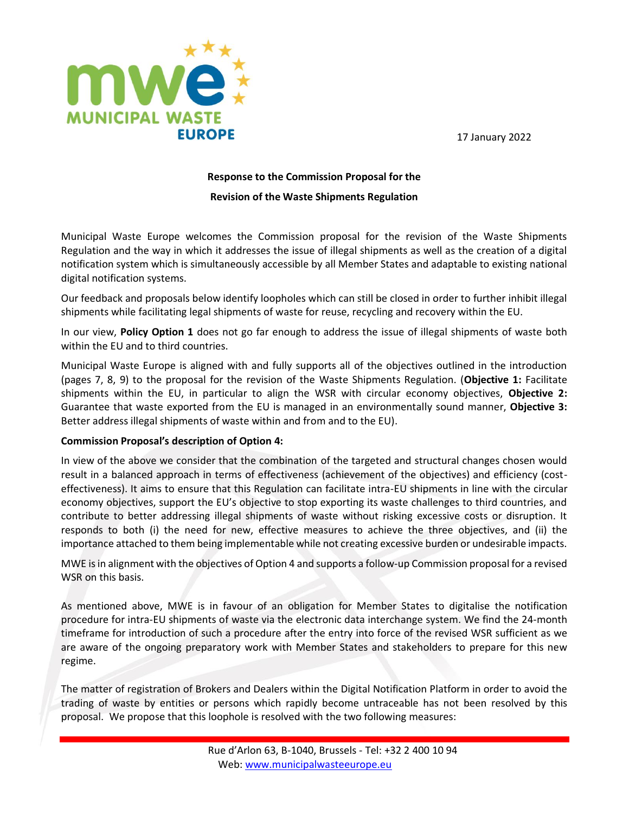

# **Response to the Commission Proposal for the**

## **Revision of the Waste Shipments Regulation**

Municipal Waste Europe welcomes the Commission proposal for the revision of the Waste Shipments Regulation and the way in which it addresses the issue of illegal shipments as well as the creation of a digital notification system which is simultaneously accessible by all Member States and adaptable to existing national digital notification systems.

Our feedback and proposals below identify loopholes which can still be closed in order to further inhibit illegal shipments while facilitating legal shipments of waste for reuse, recycling and recovery within the EU.

In our view, **Policy Option 1** does not go far enough to address the issue of illegal shipments of waste both within the EU and to third countries.

Municipal Waste Europe is aligned with and fully supports all of the objectives outlined in the introduction (pages 7, 8, 9) to the proposal for the revision of the Waste Shipments Regulation. (**Objective 1:** Facilitate shipments within the EU, in particular to align the WSR with circular economy objectives, **Objective 2:** Guarantee that waste exported from the EU is managed in an environmentally sound manner, **Objective 3:** Better address illegal shipments of waste within and from and to the EU).

# **Commission Proposal's description of Option 4:**

In view of the above we consider that the combination of the targeted and structural changes chosen would result in a balanced approach in terms of effectiveness (achievement of the objectives) and efficiency (costeffectiveness). It aims to ensure that this Regulation can facilitate intra-EU shipments in line with the circular economy objectives, support the EU's objective to stop exporting its waste challenges to third countries, and contribute to better addressing illegal shipments of waste without risking excessive costs or disruption. It responds to both (i) the need for new, effective measures to achieve the three objectives, and (ii) the importance attached to them being implementable while not creating excessive burden or undesirable impacts.

MWE is in alignment with the objectives of Option 4 and supports a follow-up Commission proposal for a revised WSR on this basis.

As mentioned above, MWE is in favour of an obligation for Member States to digitalise the notification procedure for intra-EU shipments of waste via the electronic data interchange system. We find the 24-month timeframe for introduction of such a procedure after the entry into force of the revised WSR sufficient as we are aware of the ongoing preparatory work with Member States and stakeholders to prepare for this new regime.

The matter of registration of Brokers and Dealers within the Digital Notification Platform in order to avoid the trading of waste by entities or persons which rapidly become untraceable has not been resolved by this proposal. We propose that this loophole is resolved with the two following measures: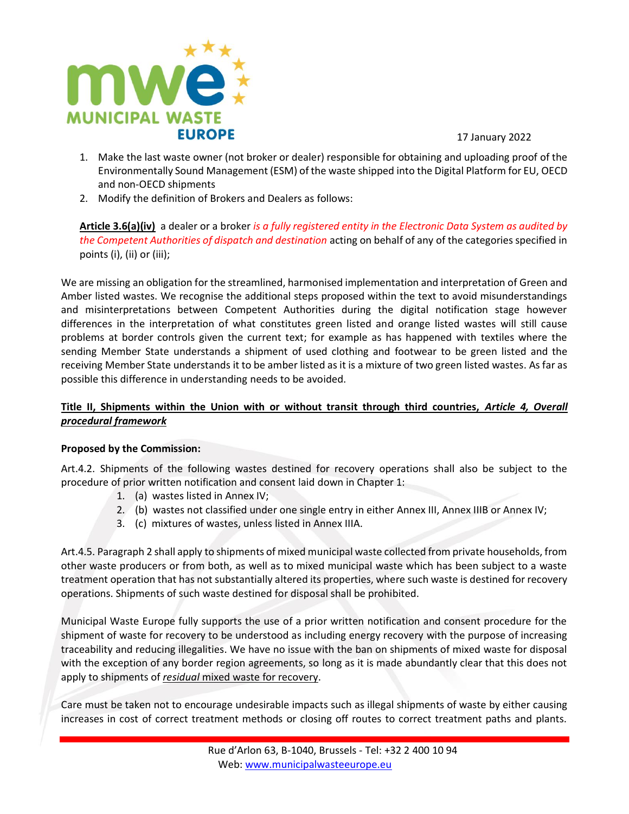

- 1. Make the last waste owner (not broker or dealer) responsible for obtaining and uploading proof of the Environmentally Sound Management (ESM) of the waste shipped into the Digital Platform for EU, OECD and non-OECD shipments
- 2. Modify the definition of Brokers and Dealers as follows:

**Article 3.6(a)(iv)** a dealer or a broker *is a fully registered entity in the Electronic Data System as audited by the Competent Authorities of dispatch and destination* acting on behalf of any of the categories specified in points (i), (ii) or (iii);

We are missing an obligation for the streamlined, harmonised implementation and interpretation of Green and Amber listed wastes. We recognise the additional steps proposed within the text to avoid misunderstandings and misinterpretations between Competent Authorities during the digital notification stage however differences in the interpretation of what constitutes green listed and orange listed wastes will still cause problems at border controls given the current text; for example as has happened with textiles where the sending Member State understands a shipment of used clothing and footwear to be green listed and the receiving Member State understands it to be amber listed as it is a mixture of two green listed wastes. As far as possible this difference in understanding needs to be avoided.

# **Title II, Shipments within the Union with or without transit through third countries,** *Article 4, Overall procedural framework*

# **Proposed by the Commission:**

Art.4.2. Shipments of the following wastes destined for recovery operations shall also be subject to the procedure of prior written notification and consent laid down in Chapter 1:

- 1. (a) wastes listed in Annex IV;
- 2. (b) wastes not classified under one single entry in either Annex III, Annex IIIB or Annex IV;
- 3. (c) mixtures of wastes, unless listed in Annex IIIA.

Art.4.5. Paragraph 2 shall apply to shipments of mixed municipal waste collected from private households, from other waste producers or from both, as well as to mixed municipal waste which has been subject to a waste treatment operation that has not substantially altered its properties, where such waste is destined for recovery operations. Shipments of such waste destined for disposal shall be prohibited.

Municipal Waste Europe fully supports the use of a prior written notification and consent procedure for the shipment of waste for recovery to be understood as including energy recovery with the purpose of increasing traceability and reducing illegalities. We have no issue with the ban on shipments of mixed waste for disposal with the exception of any border region agreements, so long as it is made abundantly clear that this does not apply to shipments of *residual* mixed waste for recovery.

Care must be taken not to encourage undesirable impacts such as illegal shipments of waste by either causing increases in cost of correct treatment methods or closing off routes to correct treatment paths and plants.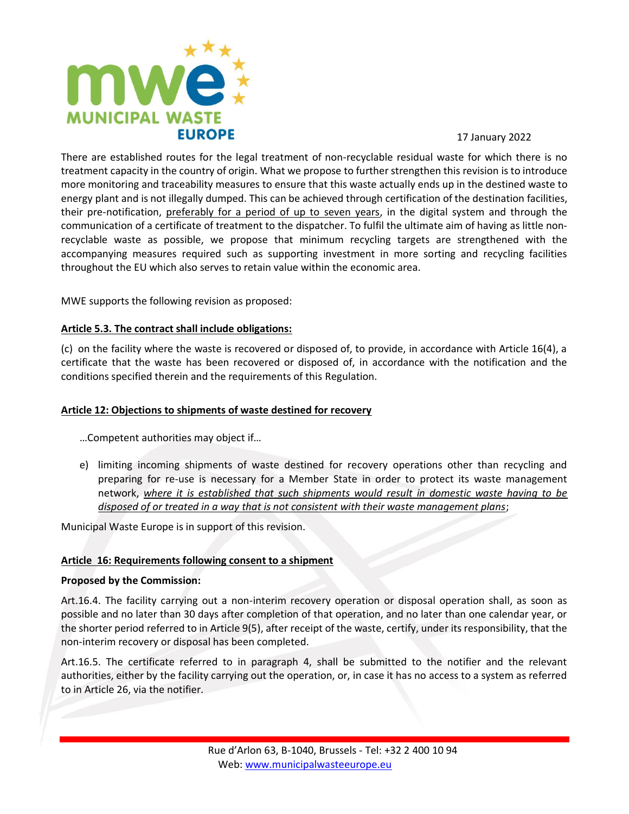

There are established routes for the legal treatment of non-recyclable residual waste for which there is no treatment capacity in the country of origin. What we propose to further strengthen this revision is to introduce more monitoring and traceability measures to ensure that this waste actually ends up in the destined waste to energy plant and is not illegally dumped. This can be achieved through certification of the destination facilities, their pre-notification, preferably for a period of up to seven years, in the digital system and through the communication of a certificate of treatment to the dispatcher. To fulfil the ultimate aim of having as little nonrecyclable waste as possible, we propose that minimum recycling targets are strengthened with the accompanying measures required such as supporting investment in more sorting and recycling facilities throughout the EU which also serves to retain value within the economic area.

MWE supports the following revision as proposed:

## **Article 5.3. The contract shall include obligations:**

(c) on the facility where the waste is recovered or disposed of, to provide, in accordance with Article 16(4), a certificate that the waste has been recovered or disposed of, in accordance with the notification and the conditions specified therein and the requirements of this Regulation.

## **Article 12: Objections to shipments of waste destined for recovery**

…Competent authorities may object if…

e) limiting incoming shipments of waste destined for recovery operations other than recycling and preparing for re-use is necessary for a Member State in order to protect its waste management network, *where it is established that such shipments would result in domestic waste having to be disposed of or treated in a way that is not consistent with their waste management plans*;

Municipal Waste Europe is in support of this revision.

## **Article 16: Requirements following consent to a shipment**

## **Proposed by the Commission:**

Art.16.4. The facility carrying out a non-interim recovery operation or disposal operation shall, as soon as possible and no later than 30 days after completion of that operation, and no later than one calendar year, or the shorter period referred to in Article 9(5), after receipt of the waste, certify, under its responsibility, that the non-interim recovery or disposal has been completed.

Art.16.5. The certificate referred to in paragraph 4, shall be submitted to the notifier and the relevant authorities, either by the facility carrying out the operation, or, in case it has no access to a system as referred to in Article 26, via the notifier.